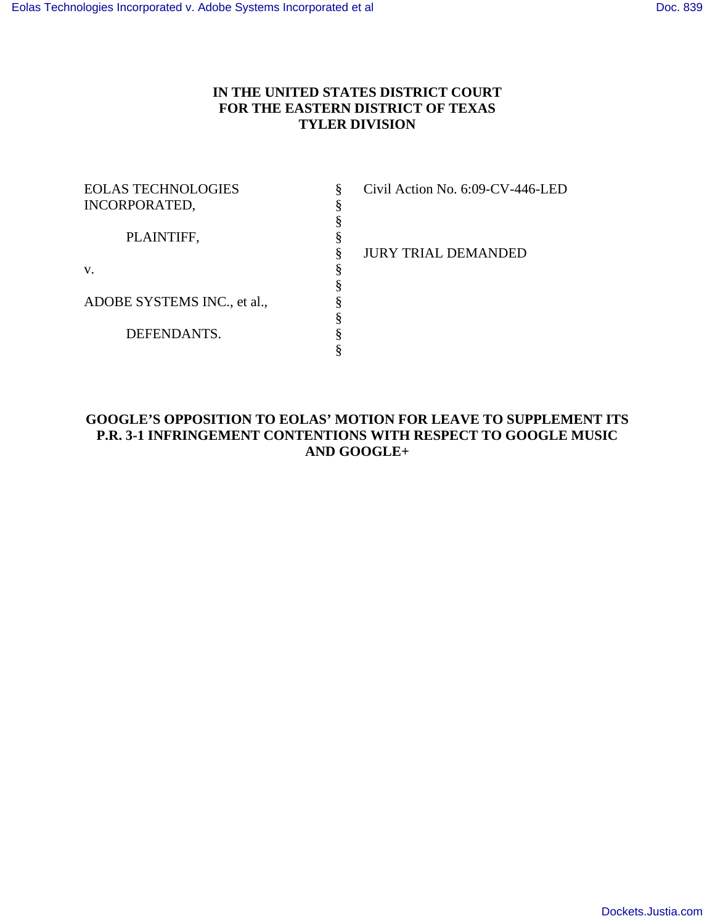## **IN THE UNITED STATES DISTRICT COURT FOR THE EASTERN DISTRICT OF TEXAS TYLER DIVISION**

| <b>EOLAS TECHNOLOGIES</b>   |   |
|-----------------------------|---|
| <b>INCORPORATED,</b>        |   |
|                             | § |
| PLAINTIFF,                  | § |
|                             | § |
| $V_{\cdot}$                 | ş |
|                             | § |
| ADOBE SYSTEMS INC., et al., |   |
|                             | ş |
| DEFENDANTS.                 | ş |
|                             |   |

Civil Action No. 6:09-CV-446-LED

§ JURY TRIAL DEMANDED

# **GOOGLE'S OPPOSITION TO EOLAS' MOTION FOR LEAVE TO SUPPLEMENT ITS P.R. 3-1 INFRINGEMENT CONTENTIONS WITH RESPECT TO GOOGLE MUSIC AND GOOGLE+**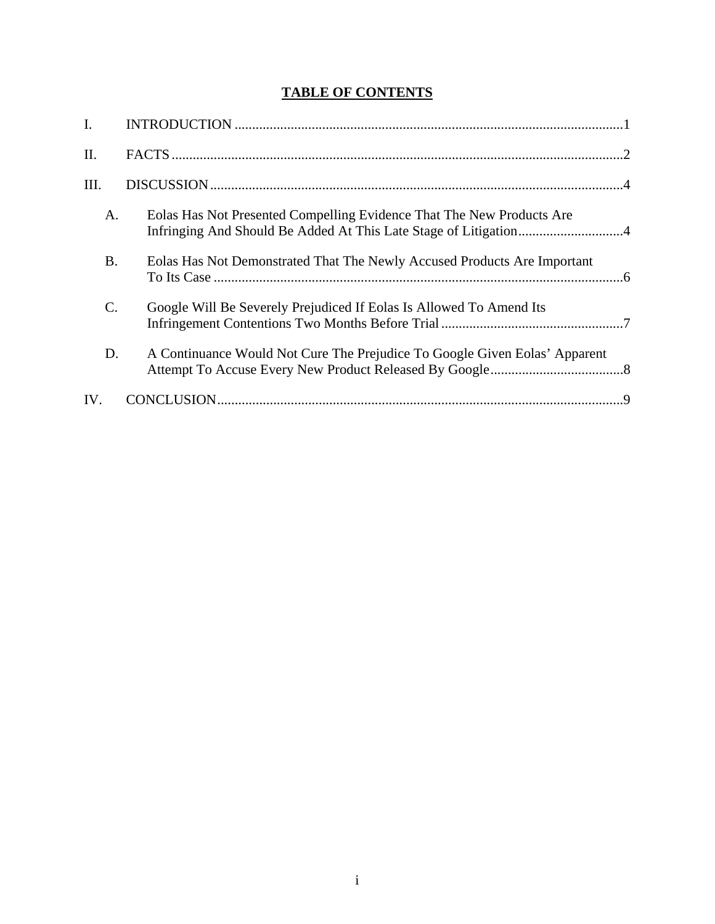# **TABLE OF CONTENTS**

| I.              |                                                                            |  |
|-----------------|----------------------------------------------------------------------------|--|
| Π.              |                                                                            |  |
| Ш.              |                                                                            |  |
| A.              | Eolas Has Not Presented Compelling Evidence That The New Products Are      |  |
| <b>B.</b>       | Eolas Has Not Demonstrated That The Newly Accused Products Are Important   |  |
| $\mathcal{C}$ . | Google Will Be Severely Prejudiced If Eolas Is Allowed To Amend Its        |  |
| D.              | A Continuance Would Not Cure The Prejudice To Google Given Eolas' Apparent |  |
| IV.             |                                                                            |  |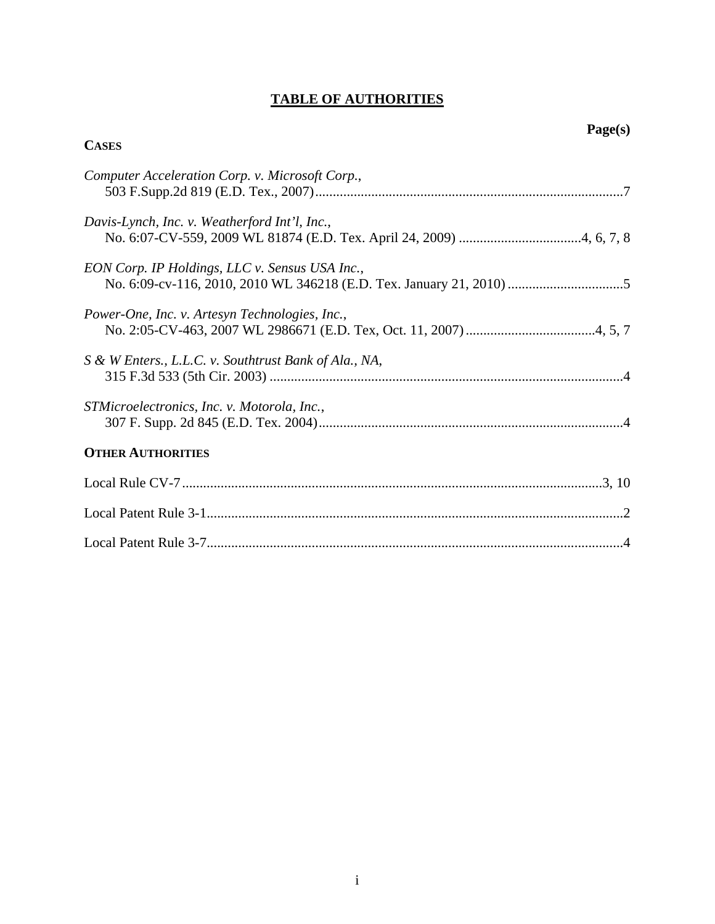# **TABLE OF AUTHORITIES**

**CASES**

| Computer Acceleration Corp. v. Microsoft Corp.,       |
|-------------------------------------------------------|
| Davis-Lynch, Inc. v. Weatherford Int'l, Inc.,         |
| EON Corp. IP Holdings, LLC v. Sensus USA Inc.,        |
| Power-One, Inc. v. Artesyn Technologies, Inc.,        |
| S & W Enters., L.L.C. v. Southtrust Bank of Ala., NA, |
| STMicroelectronics, Inc. v. Motorola, Inc.,           |
| <b>OTHER AUTHORITIES</b>                              |
|                                                       |
|                                                       |
|                                                       |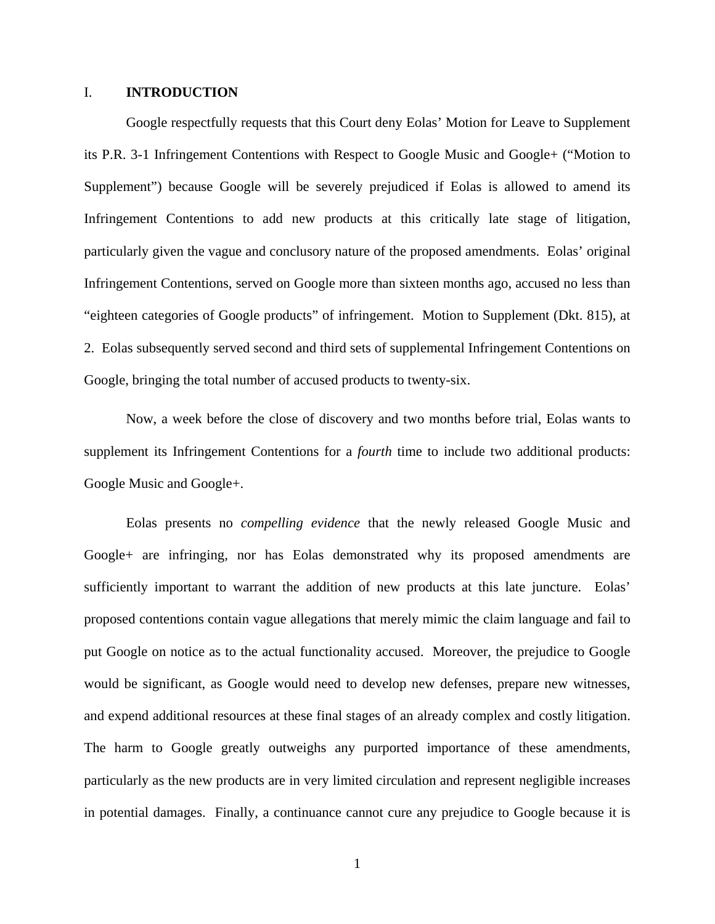#### I. **INTRODUCTION**

Google respectfully requests that this Court deny Eolas' Motion for Leave to Supplement its P.R. 3-1 Infringement Contentions with Respect to Google Music and Google+ ("Motion to Supplement") because Google will be severely prejudiced if Eolas is allowed to amend its Infringement Contentions to add new products at this critically late stage of litigation, particularly given the vague and conclusory nature of the proposed amendments. Eolas' original Infringement Contentions, served on Google more than sixteen months ago, accused no less than "eighteen categories of Google products" of infringement. Motion to Supplement (Dkt. 815), at 2. Eolas subsequently served second and third sets of supplemental Infringement Contentions on Google, bringing the total number of accused products to twenty-six.

Now, a week before the close of discovery and two months before trial, Eolas wants to supplement its Infringement Contentions for a *fourth* time to include two additional products: Google Music and Google+.

Eolas presents no *compelling evidence* that the newly released Google Music and Google+ are infringing, nor has Eolas demonstrated why its proposed amendments are sufficiently important to warrant the addition of new products at this late juncture. Eolas' proposed contentions contain vague allegations that merely mimic the claim language and fail to put Google on notice as to the actual functionality accused. Moreover, the prejudice to Google would be significant, as Google would need to develop new defenses, prepare new witnesses, and expend additional resources at these final stages of an already complex and costly litigation. The harm to Google greatly outweighs any purported importance of these amendments, particularly as the new products are in very limited circulation and represent negligible increases in potential damages. Finally, a continuance cannot cure any prejudice to Google because it is

1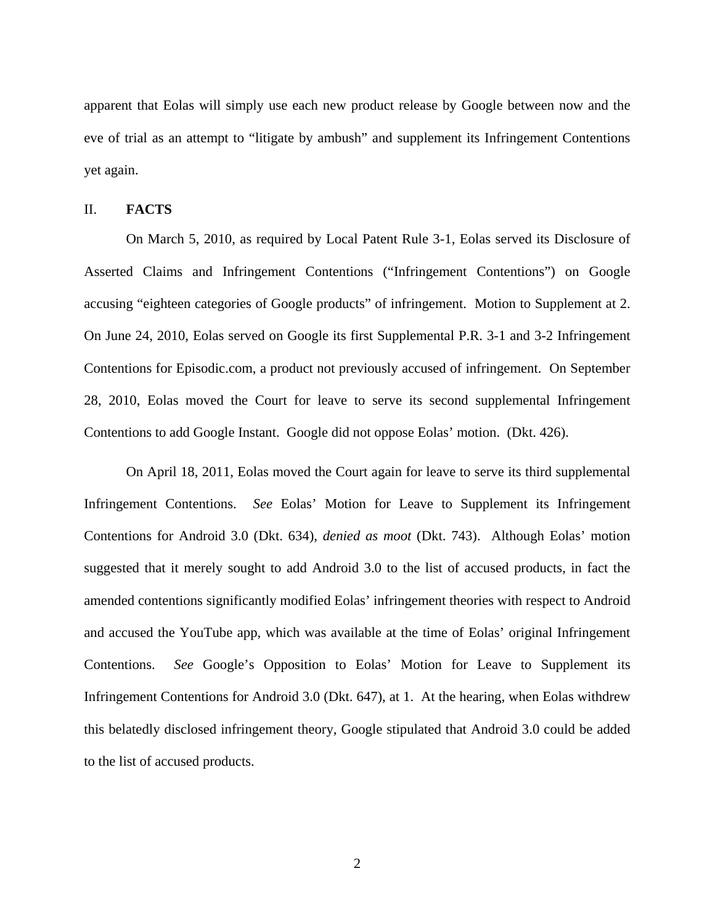apparent that Eolas will simply use each new product release by Google between now and the eve of trial as an attempt to "litigate by ambush" and supplement its Infringement Contentions yet again.

#### II. **FACTS**

On March 5, 2010, as required by Local Patent Rule 3-1, Eolas served its Disclosure of Asserted Claims and Infringement Contentions ("Infringement Contentions") on Google accusing "eighteen categories of Google products" of infringement. Motion to Supplement at 2. On June 24, 2010, Eolas served on Google its first Supplemental P.R. 3-1 and 3-2 Infringement Contentions for Episodic.com, a product not previously accused of infringement. On September 28, 2010, Eolas moved the Court for leave to serve its second supplemental Infringement Contentions to add Google Instant. Google did not oppose Eolas' motion. (Dkt. 426).

On April 18, 2011, Eolas moved the Court again for leave to serve its third supplemental Infringement Contentions. *See* Eolas' Motion for Leave to Supplement its Infringement Contentions for Android 3.0 (Dkt. 634), *denied as moot* (Dkt. 743). Although Eolas' motion suggested that it merely sought to add Android 3.0 to the list of accused products, in fact the amended contentions significantly modified Eolas' infringement theories with respect to Android and accused the YouTube app, which was available at the time of Eolas' original Infringement Contentions. *See* Google's Opposition to Eolas' Motion for Leave to Supplement its Infringement Contentions for Android 3.0 (Dkt. 647), at 1. At the hearing, when Eolas withdrew this belatedly disclosed infringement theory, Google stipulated that Android 3.0 could be added to the list of accused products.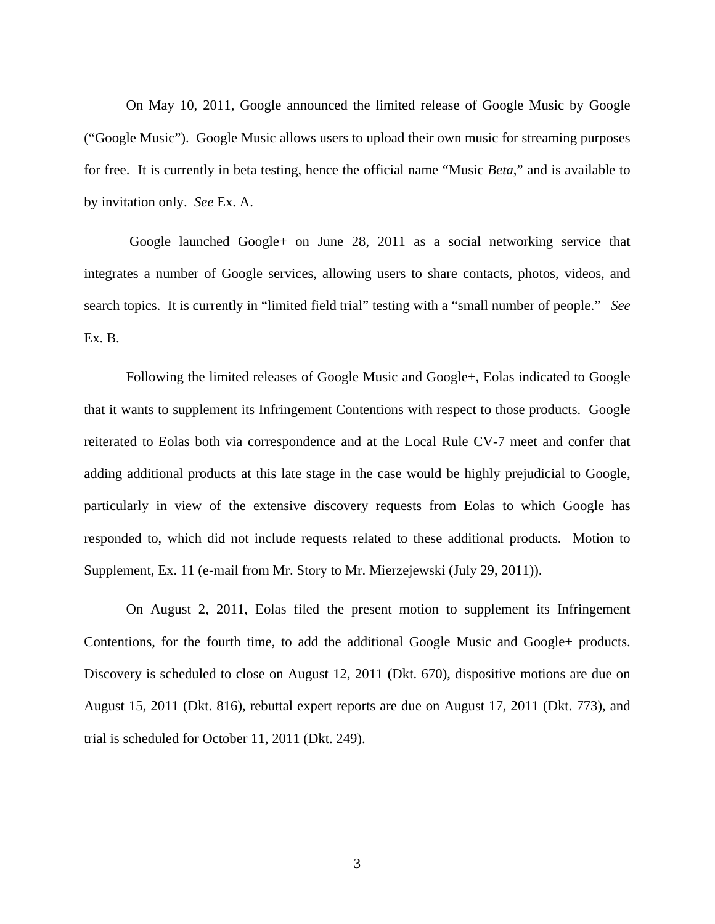On May 10, 2011, Google announced the limited release of Google Music by Google ("Google Music"). Google Music allows users to upload their own music for streaming purposes for free. It is currently in beta testing, hence the official name "Music *Beta*," and is available to by invitation only. *See* Ex. A.

 Google launched Google+ on June 28, 2011 as a social networking service that integrates a number of Google services, allowing users to share contacts, photos, videos, and search topics. It is currently in "limited field trial" testing with a "small number of people." *See* Ex. B.

Following the limited releases of Google Music and Google+, Eolas indicated to Google that it wants to supplement its Infringement Contentions with respect to those products. Google reiterated to Eolas both via correspondence and at the Local Rule CV-7 meet and confer that adding additional products at this late stage in the case would be highly prejudicial to Google, particularly in view of the extensive discovery requests from Eolas to which Google has responded to, which did not include requests related to these additional products. Motion to Supplement, Ex. 11 (e-mail from Mr. Story to Mr. Mierzejewski (July 29, 2011)).

On August 2, 2011, Eolas filed the present motion to supplement its Infringement Contentions, for the fourth time, to add the additional Google Music and Google+ products. Discovery is scheduled to close on August 12, 2011 (Dkt. 670), dispositive motions are due on August 15, 2011 (Dkt. 816), rebuttal expert reports are due on August 17, 2011 (Dkt. 773), and trial is scheduled for October 11, 2011 (Dkt. 249).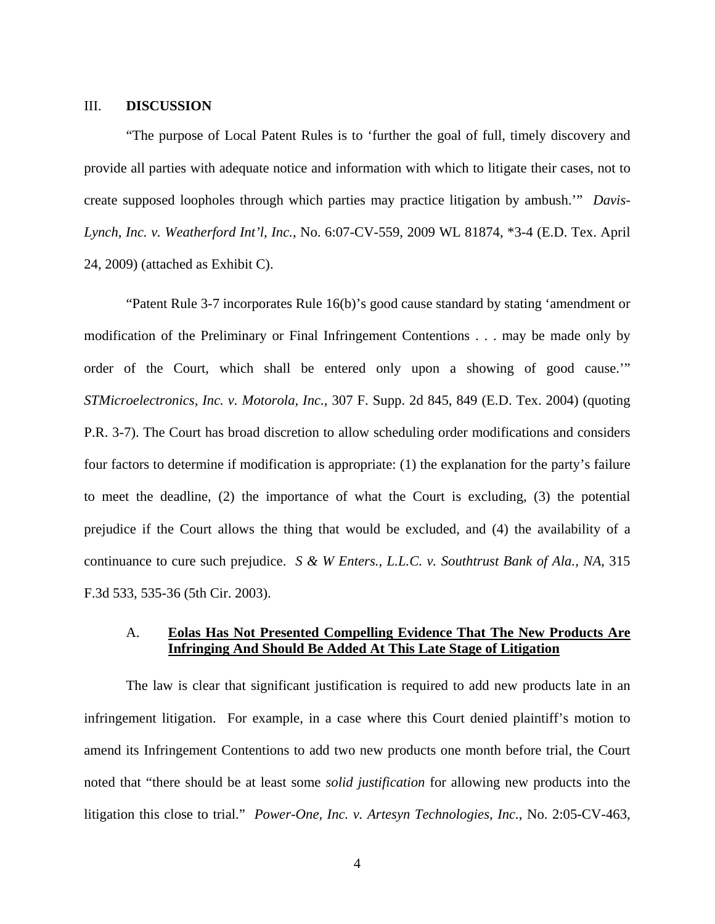#### III. **DISCUSSION**

"The purpose of Local Patent Rules is to 'further the goal of full, timely discovery and provide all parties with adequate notice and information with which to litigate their cases, not to create supposed loopholes through which parties may practice litigation by ambush.'" *Davis-Lynch, Inc. v. Weatherford Int'l, Inc.*, No. 6:07-CV-559, 2009 WL 81874, \*3-4 (E.D. Tex. April 24, 2009) (attached as Exhibit C).

"Patent Rule 3-7 incorporates Rule 16(b)'s good cause standard by stating 'amendment or modification of the Preliminary or Final Infringement Contentions . . . may be made only by order of the Court, which shall be entered only upon a showing of good cause.'" *STMicroelectronics, Inc. v. Motorola, Inc.*, 307 F. Supp. 2d 845, 849 (E.D. Tex. 2004) (quoting P.R. 3-7). The Court has broad discretion to allow scheduling order modifications and considers four factors to determine if modification is appropriate: (1) the explanation for the party's failure to meet the deadline, (2) the importance of what the Court is excluding, (3) the potential prejudice if the Court allows the thing that would be excluded, and (4) the availability of a continuance to cure such prejudice. *S & W Enters., L.L.C. v. Southtrust Bank of Ala., NA*, 315 F.3d 533, 535-36 (5th Cir. 2003).

#### A. **Eolas Has Not Presented Compelling Evidence That The New Products Are Infringing And Should Be Added At This Late Stage of Litigation**

The law is clear that significant justification is required to add new products late in an infringement litigation. For example, in a case where this Court denied plaintiff's motion to amend its Infringement Contentions to add two new products one month before trial, the Court noted that "there should be at least some *solid justification* for allowing new products into the litigation this close to trial." *Power-One, Inc. v. Artesyn Technologies, Inc.*, No. 2:05-CV-463,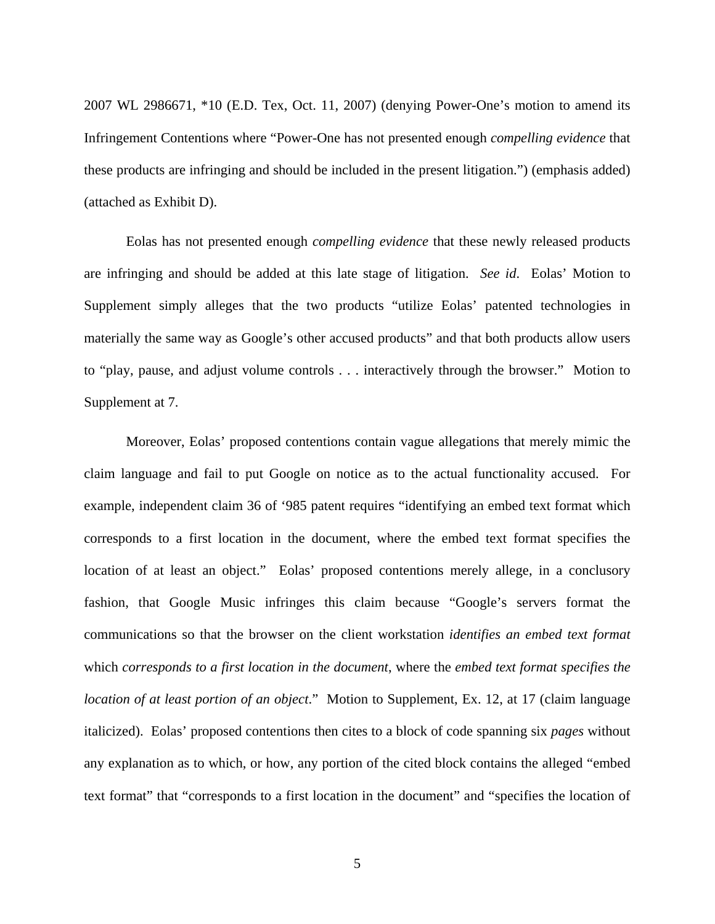2007 WL 2986671, \*10 (E.D. Tex, Oct. 11, 2007) (denying Power-One's motion to amend its Infringement Contentions where "Power-One has not presented enough *compelling evidence* that these products are infringing and should be included in the present litigation.") (emphasis added) (attached as Exhibit D).

Eolas has not presented enough *compelling evidence* that these newly released products are infringing and should be added at this late stage of litigation. *See id*. Eolas' Motion to Supplement simply alleges that the two products "utilize Eolas' patented technologies in materially the same way as Google's other accused products" and that both products allow users to "play, pause, and adjust volume controls . . . interactively through the browser." Motion to Supplement at 7.

Moreover, Eolas' proposed contentions contain vague allegations that merely mimic the claim language and fail to put Google on notice as to the actual functionality accused. For example, independent claim 36 of '985 patent requires "identifying an embed text format which corresponds to a first location in the document, where the embed text format specifies the location of at least an object." Eolas' proposed contentions merely allege, in a conclusory fashion, that Google Music infringes this claim because "Google's servers format the communications so that the browser on the client workstation *identifies an embed text format* which *corresponds to a first location in the document*, where the *embed text format specifies the location of at least portion of an object*." Motion to Supplement, Ex. 12, at 17 (claim language italicized). Eolas' proposed contentions then cites to a block of code spanning six *pages* without any explanation as to which, or how, any portion of the cited block contains the alleged "embed text format" that "corresponds to a first location in the document" and "specifies the location of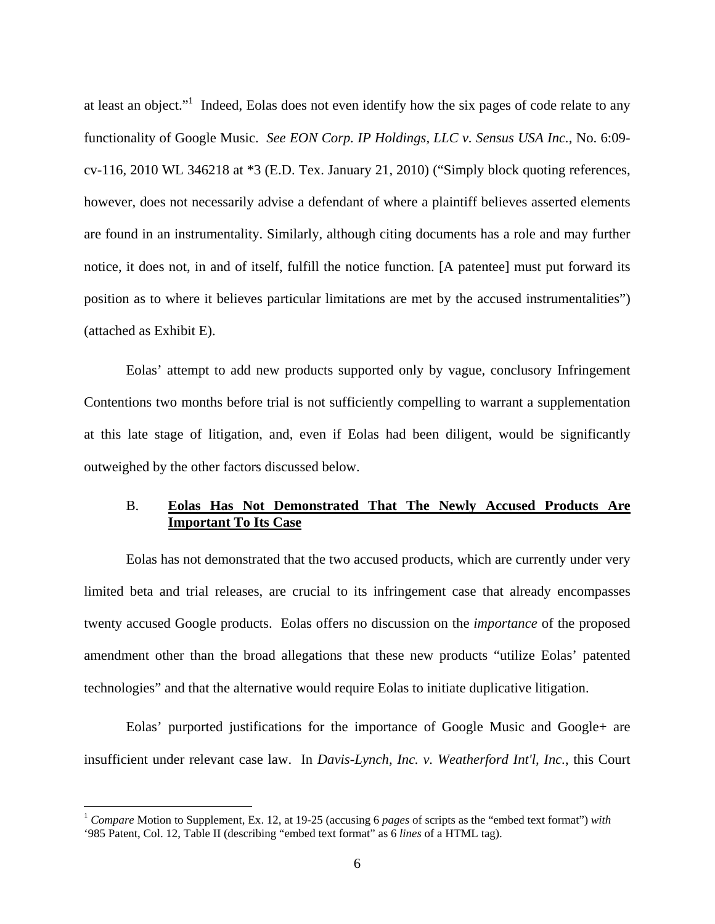at least an object."<sup>1</sup> Indeed, Eolas does not even identify how the six pages of code relate to any functionality of Google Music. *See EON Corp. IP Holdings, LLC v. Sensus USA Inc.*, No. 6:09 cv-116, 2010 WL 346218 at \*3 (E.D. Tex. January 21, 2010) ("Simply block quoting references, however, does not necessarily advise a defendant of where a plaintiff believes asserted elements are found in an instrumentality. Similarly, although citing documents has a role and may further notice, it does not, in and of itself, fulfill the notice function. [A patentee] must put forward its position as to where it believes particular limitations are met by the accused instrumentalities") (attached as Exhibit E).

Eolas' attempt to add new products supported only by vague, conclusory Infringement Contentions two months before trial is not sufficiently compelling to warrant a supplementation at this late stage of litigation, and, even if Eolas had been diligent, would be significantly outweighed by the other factors discussed below.

### B. **Eolas Has Not Demonstrated That The Newly Accused Products Are Important To Its Case**

Eolas has not demonstrated that the two accused products, which are currently under very limited beta and trial releases, are crucial to its infringement case that already encompasses twenty accused Google products. Eolas offers no discussion on the *importance* of the proposed amendment other than the broad allegations that these new products "utilize Eolas' patented technologies" and that the alternative would require Eolas to initiate duplicative litigation.

Eolas' purported justifications for the importance of Google Music and Google+ are insufficient under relevant case law. In *Davis-Lynch, Inc. v. Weatherford Int'l, Inc.*, this Court

 $\overline{a}$ 

<sup>1</sup> *Compare* Motion to Supplement, Ex. 12, at 19-25 (accusing 6 *pages* of scripts as the "embed text format") *with* '985 Patent, Col. 12, Table II (describing "embed text format" as 6 *lines* of a HTML tag).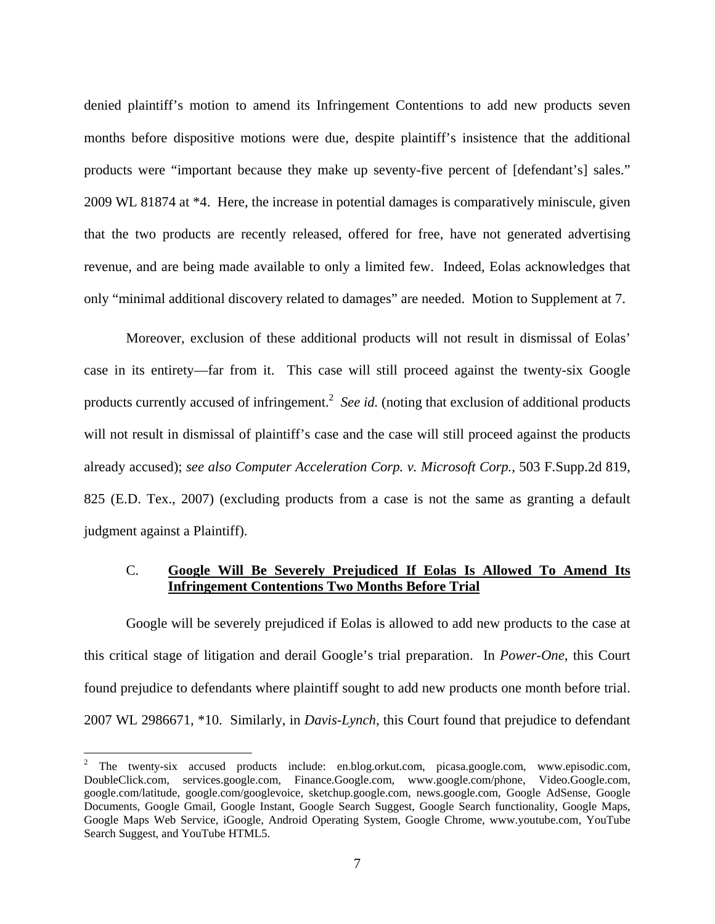denied plaintiff's motion to amend its Infringement Contentions to add new products seven months before dispositive motions were due, despite plaintiff's insistence that the additional products were "important because they make up seventy-five percent of [defendant's] sales." 2009 WL 81874 at \*4. Here, the increase in potential damages is comparatively miniscule, given that the two products are recently released, offered for free, have not generated advertising revenue, and are being made available to only a limited few. Indeed, Eolas acknowledges that only "minimal additional discovery related to damages" are needed. Motion to Supplement at 7.

Moreover, exclusion of these additional products will not result in dismissal of Eolas' case in its entirety—far from it. This case will still proceed against the twenty-six Google products currently accused of infringement.<sup>2</sup> See id. (noting that exclusion of additional products will not result in dismissal of plaintiff's case and the case will still proceed against the products already accused); *see also Computer Acceleration Corp. v. Microsoft Corp.*, 503 F.Supp.2d 819, 825 (E.D. Tex., 2007) (excluding products from a case is not the same as granting a default judgment against a Plaintiff).

### C. **Google Will Be Severely Prejudiced If Eolas Is Allowed To Amend Its Infringement Contentions Two Months Before Trial**

Google will be severely prejudiced if Eolas is allowed to add new products to the case at this critical stage of litigation and derail Google's trial preparation. In *Power-One*, this Court found prejudice to defendants where plaintiff sought to add new products one month before trial. 2007 WL 2986671, \*10. Similarly, in *Davis-Lynch*, this Court found that prejudice to defendant

 $\overline{a}$ 

<sup>&</sup>lt;sup>2</sup> The twenty-six accused products include: en.blog.orkut.com, picasa.google.com, www.episodic.com, DoubleClick.com, services.google.com, Finance.Google.com, www.google.com/phone, Video.Google.com, google.com/latitude, google.com/googlevoice, sketchup.google.com, news.google.com, Google AdSense, Google Documents, Google Gmail, Google Instant, Google Search Suggest, Google Search functionality, Google Maps, Google Maps Web Service, iGoogle, Android Operating System, Google Chrome, www.youtube.com, YouTube Search Suggest, and YouTube HTML5.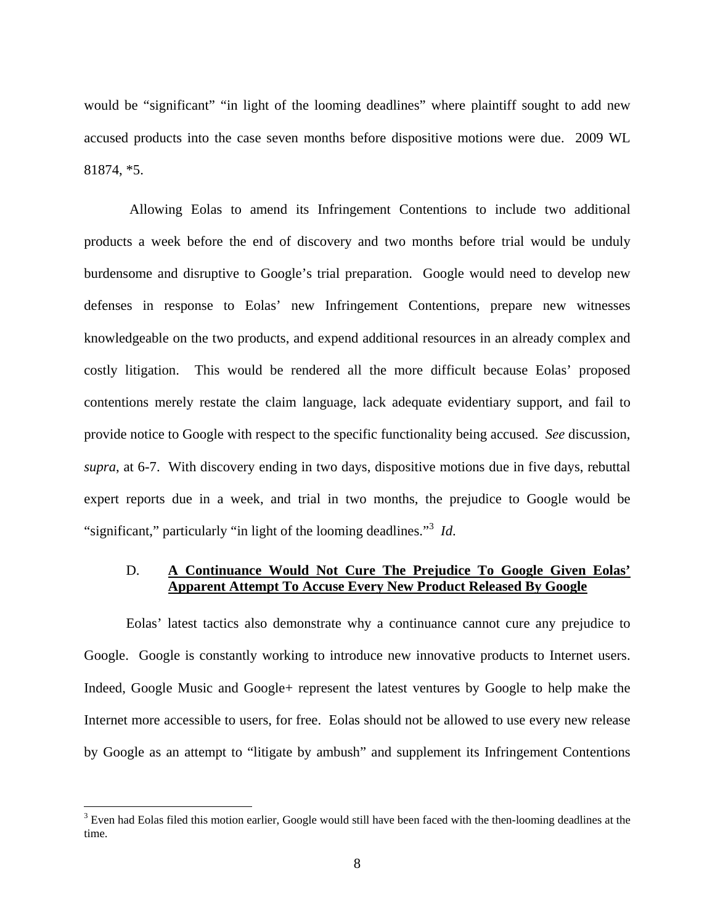would be "significant" "in light of the looming deadlines" where plaintiff sought to add new accused products into the case seven months before dispositive motions were due. 2009 WL 81874, \*5.

 Allowing Eolas to amend its Infringement Contentions to include two additional products a week before the end of discovery and two months before trial would be unduly burdensome and disruptive to Google's trial preparation. Google would need to develop new defenses in response to Eolas' new Infringement Contentions, prepare new witnesses knowledgeable on the two products, and expend additional resources in an already complex and costly litigation. This would be rendered all the more difficult because Eolas' proposed contentions merely restate the claim language, lack adequate evidentiary support, and fail to provide notice to Google with respect to the specific functionality being accused. *See* discussion, *supra*, at 6-7. With discovery ending in two days, dispositive motions due in five days, rebuttal expert reports due in a week, and trial in two months, the prejudice to Google would be "significant," particularly "in light of the looming deadlines."<sup>3</sup> *Id*.

#### D. **A Continuance Would Not Cure The Prejudice To Google Given Eolas' Apparent Attempt To Accuse Every New Product Released By Google**

Eolas' latest tactics also demonstrate why a continuance cannot cure any prejudice to Google. Google is constantly working to introduce new innovative products to Internet users. Indeed, Google Music and Google+ represent the latest ventures by Google to help make the Internet more accessible to users, for free. Eolas should not be allowed to use every new release by Google as an attempt to "litigate by ambush" and supplement its Infringement Contentions

<sup>&</sup>lt;sup>3</sup> Even had Eolas filed this motion earlier, Google would still have been faced with the then-looming deadlines at the time.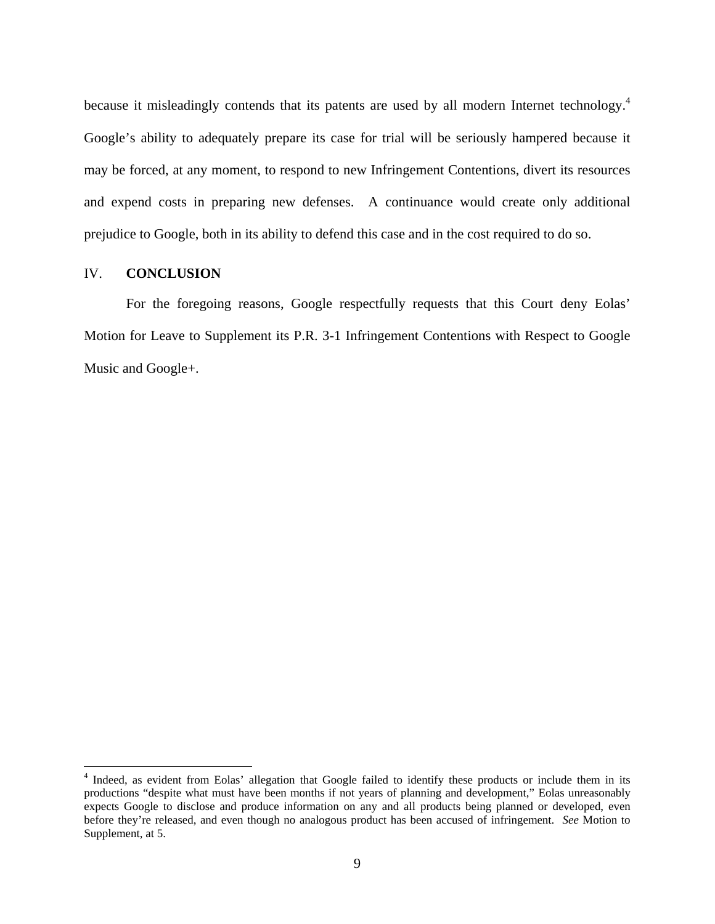because it misleadingly contends that its patents are used by all modern Internet technology.<sup>4</sup> Google's ability to adequately prepare its case for trial will be seriously hampered because it may be forced, at any moment, to respond to new Infringement Contentions, divert its resources and expend costs in preparing new defenses. A continuance would create only additional prejudice to Google, both in its ability to defend this case and in the cost required to do so.

#### IV. **CONCLUSION**

1

For the foregoing reasons, Google respectfully requests that this Court deny Eolas' Motion for Leave to Supplement its P.R. 3-1 Infringement Contentions with Respect to Google Music and Google+.

<sup>&</sup>lt;sup>4</sup> Indeed, as evident from Eolas' allegation that Google failed to identify these products or include them in its productions "despite what must have been months if not years of planning and development," Eolas unreasonably expects Google to disclose and produce information on any and all products being planned or developed, even before they're released, and even though no analogous product has been accused of infringement. *See* Motion to Supplement, at 5.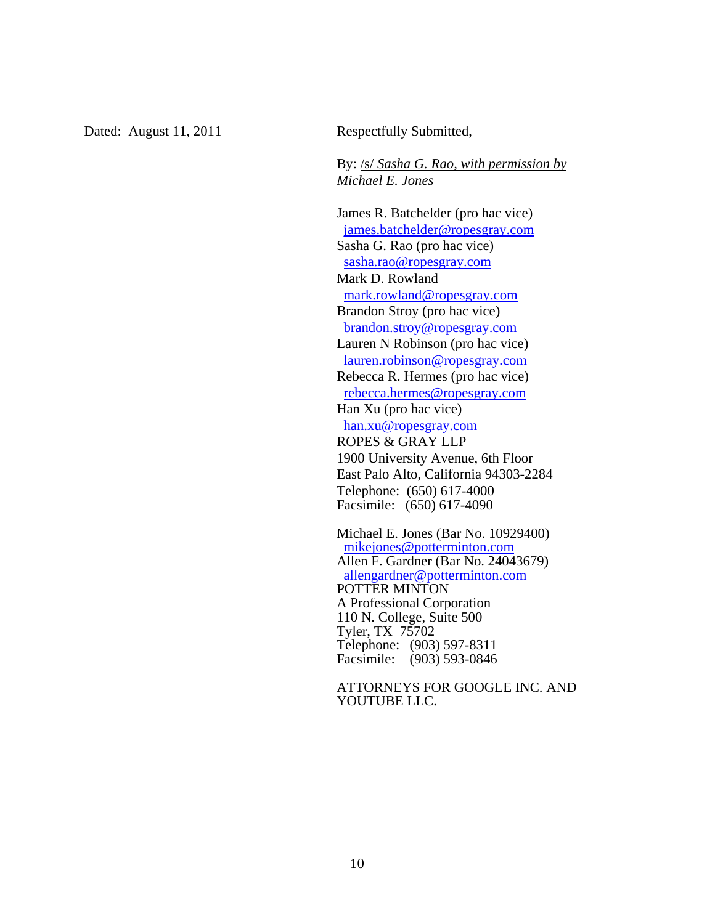Dated: August 11, 2011 Respectfully Submitted,

By: /s/ *Sasha G. Rao, with permission by Michael E. Jones* 

James R. Batchelder (pro hac vice) james.batchelder@ropesgray.com Sasha G. Rao (pro hac vice) sasha.rao@ropesgray.com Mark D. Rowland mark.rowland@ropesgray.com Brandon Stroy (pro hac vice) brandon.stroy@ropesgray.com Lauren N Robinson (pro hac vice) lauren.robinson@ropesgray.com Rebecca R. Hermes (pro hac vice) rebecca.hermes@ropesgray.com Han Xu (pro hac vice) han.xu@ropesgray.com ROPES & GRAY LLP 1900 University Avenue, 6th Floor East Palo Alto, California 94303-2284 Telephone: (650) 617-4000 Facsimile: (650) 617-4090

Michael E. Jones (Bar No. 10929400) mikejones@potterminton.com Allen F. Gardner (Bar No. 24043679) allengardner@potterminton.com POTTER MINTON A Professional Corporation 110 N. College, Suite 500 Tyler, TX 75702 Telephone: (903) 597-8311 Facsimile: (903) 593-0846

ATTORNEYS FOR GOOGLE INC. AND YOUTUBE LLC.